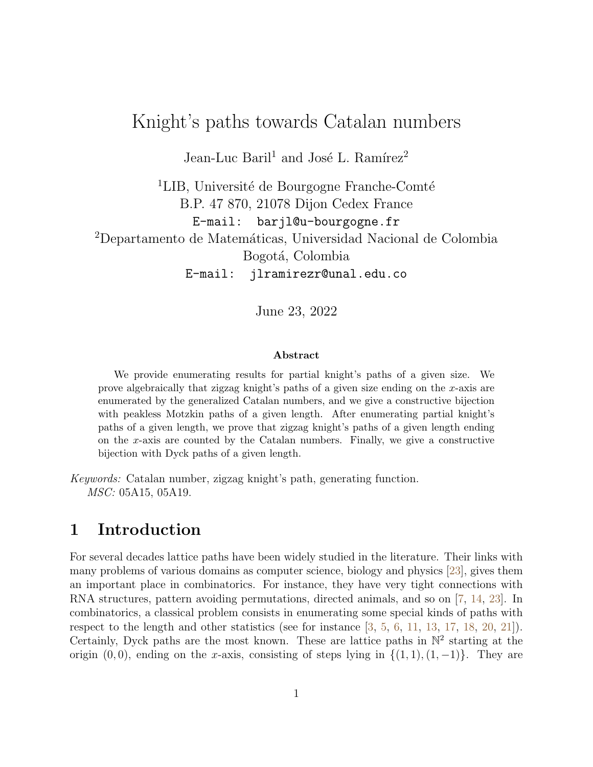# Knight's paths towards Catalan numbers

Jean-Luc Baril<sup>1</sup> and José L. Ramírez<sup>2</sup>

<sup>1</sup>LIB, Université de Bourgogne Franche-Comté B.P. 47 870, 21078 Dijon Cedex France E-mail: barjl@u-bourgogne.fr <sup>2</sup>Departamento de Matemáticas, Universidad Nacional de Colombia Bogotá, Colombia E-mail: jlramirezr@unal.edu.co

June 23, 2022

#### Abstract

We provide enumerating results for partial knight's paths of a given size. We prove algebraically that zigzag knight's paths of a given size ending on the x-axis are enumerated by the generalized Catalan numbers, and we give a constructive bijection with peakless Motzkin paths of a given length. After enumerating partial knight's paths of a given length, we prove that zigzag knight's paths of a given length ending on the x-axis are counted by the Catalan numbers. Finally, we give a constructive bijection with Dyck paths of a given length.

Keywords: Catalan number, zigzag knight's path, generating function. MSC: 05A15, 05A19.

### 1 Introduction

For several decades lattice paths have been widely studied in the literature. Their links with many problems of various domains as computer science, biology and physics [\[23\]](#page-15-0), gives them an important place in combinatorics. For instance, they have very tight connections with RNA structures, pattern avoiding permutations, directed animals, and so on [\[7,](#page-14-0) [14,](#page-14-1) [23\]](#page-15-0). In combinatorics, a classical problem consists in enumerating some special kinds of paths with respect to the length and other statistics (see for instance [\[3,](#page-14-2) [5,](#page-14-3) [6,](#page-14-4) [11,](#page-14-5) [13,](#page-14-6) [17,](#page-15-1) [18,](#page-15-2) [20,](#page-15-3) [21\]](#page-15-4)). Certainly, Dyck paths are the most known. These are lattice paths in  $\mathbb{N}^2$  starting at the origin  $(0, 0)$ , ending on the x-axis, consisting of steps lying in  $\{(1, 1), (1, -1)\}$ . They are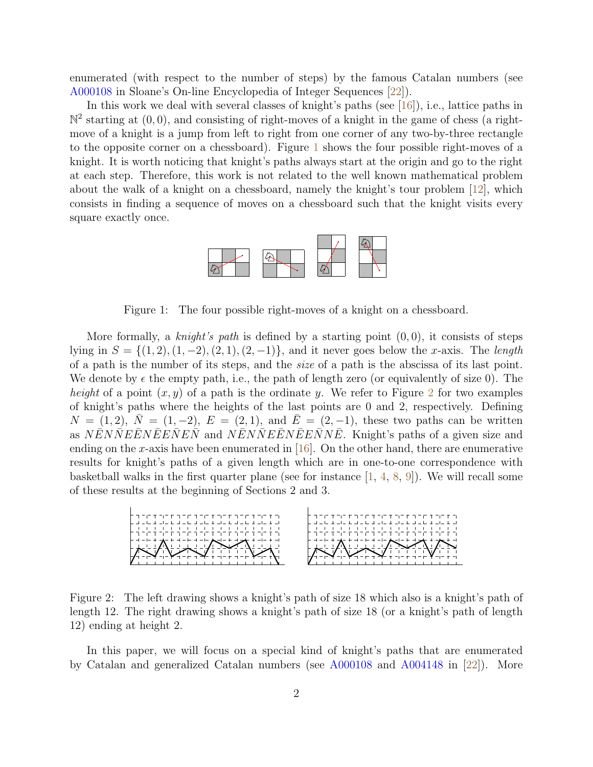enumerated (with respect to the number of steps) by the famous Catalan numbers (see [A000108](https://oeis.org/A000108) in Sloane's On-line Encyclopedia of Integer Sequences [\[22\]](#page-15-5)).

In this work we deal with several classes of knight's paths (see [\[16\]](#page-14-7)), i.e., lattice paths in  $\mathbb{N}^2$  starting at  $(0,0)$ , and consisting of right-moves of a knight in the game of chess (a rightmove of a knight is a jump from left to right from one corner of any two-by-three rectangle to the opposite corner on a chessboard). Figure [1](#page-1-0) shows the four possible right-moves of a knight. It is worth noticing that knight's paths always start at the origin and go to the right at each step. Therefore, this work is not related to the well known mathematical problem about the walk of a knight on a chessboard, namely the knight's tour problem  $|12|$ , which consists in finding a sequence of moves on a chessboard such that the knight visits every square exactly once.



<span id="page-1-0"></span>Figure 1: The four possible right-moves of a knight on a chessboard.

More formally, a knight's path is defined by a starting point  $(0,0)$ , it consists of steps lying in  $S = \{(1, 2), (1, -2), (2, 1), (2, -1)\}\$ , and it never goes below the x-axis. The length of a path is the number of its steps, and the size of a path is the abscissa of its last point. We denote by  $\epsilon$  the empty path, i.e., the path of length zero (or equivalently of size 0). The height of a point  $(x, y)$  of a path is the ordinate y. We refer to Figure [2](#page-1-1) for two examples of knight's paths where the heights of the last points are 0 and 2, respectively. Defining  $N = (1, 2), N = (1, -2), E = (2, 1), \text{ and } \overline{E} = (2, -1), \text{ these two paths can be written}$ as NENNEENEENEN and NENNEENEENNE. Knight's paths of a given size and ending on the x-axis have been enumerated in  $[16]$ . On the other hand, there are enumerative results for knight's paths of a given length which are in one-to-one correspondence with basketball walks in the first quarter plane (see for instance  $[1, 4, 8, 9]$  $[1, 4, 8, 9]$  $[1, 4, 8, 9]$  $[1, 4, 8, 9]$  $[1, 4, 8, 9]$  $[1, 4, 8, 9]$  $[1, 4, 8, 9]$ ). We will recall some of these results at the beginning of Sections 2 and 3.



<span id="page-1-1"></span>Figure 2: The left drawing shows a knight's path of size 18 which also is a knight's path of length 12. The right drawing shows a knight's path of size 18 (or a knight's path of length 12) ending at height 2.

In this paper, we will focus on a special kind of knight's paths that are enumerated by Catalan and generalized Catalan numbers (see [A000108](https://oeis.org/A000108) and [A004148](https://oeis.org/A004148) in [\[22\]](#page-15-5)). More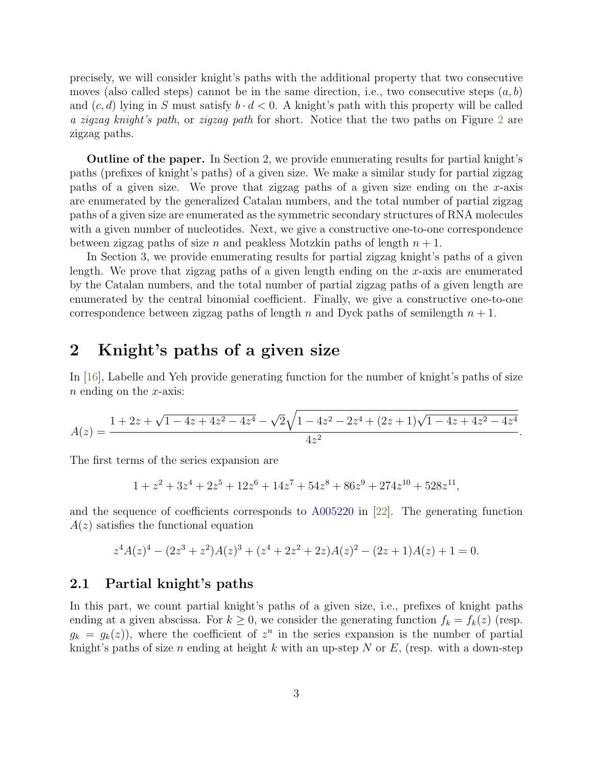precisely, we will consider knight's paths with the additional property that two consecutive moves (also called steps) cannot be in the same direction, i.e., two consecutive steps  $(a, b)$ and  $(c, d)$  lying in S must satisfy  $b \cdot d < 0$ . A knight's path with this property will be called a zigzag knight's path, or zigzag path for short. Notice that the two paths on Figure [2](#page-1-1) are zigzag paths.

Outline of the paper. In Section 2, we provide enumerating results for partial knight's paths (prefixes of knight's paths) of a given size. We make a similar study for partial zigzag paths of a given size. We prove that zigzag paths of a given size ending on the x-axis are enumerated by the generalized Catalan numbers, and the total number of partial zigzag paths of a given size are enumerated as the symmetric secondary structures of RNA molecules with a given number of nucleotides. Next, we give a constructive one-to-one correspondence between zigzag paths of size n and peakless Motzkin paths of length  $n + 1$ .

In Section 3, we provide enumerating results for partial zigzag knight's paths of a given length. We prove that zigzag paths of a given length ending on the  $x$ -axis are enumerated by the Catalan numbers, and the total number of partial zigzag paths of a given length are enumerated by the central binomial coefficient. Finally, we give a constructive one-to-one correspondence between zigzag paths of length n and Dyck paths of semilength  $n + 1$ .

## 2 Knight's paths of a given size

In [\[16\]](#page-14-7), Labelle and Yeh provide generating function for the number of knight's paths of size  $n$  ending on the  $x$ -axis:

$$
A(z) = \frac{1 + 2z + \sqrt{1 - 4z + 4z^2 - 4z^4} - \sqrt{2}\sqrt{1 - 4z^2 - 2z^4 + (2z + 1)\sqrt{1 - 4z + 4z^2 - 4z^4}}}{4z^2}.
$$

The first terms of the series expansion are

$$
1 + z2 + 3z4 + 2z5 + 12z6 + 14z7 + 54z8 + 86z9 + 274z10 + 528z11,
$$

and the sequence of coefficients corresponds to [A005220](https://oeis.org/A005220) in [\[22\]](#page-15-5). The generating function  $A(z)$  satisfies the functional equation

$$
z4A(z)4 - (2z3 + z2)A(z)3 + (z4 + 2z2 + 2z)A(z)2 - (2z + 1)A(z) + 1 = 0.
$$

#### 2.1 Partial knight's paths

In this part, we count partial knight's paths of a given size, i.e., prefixes of knight paths ending at a given abscissa. For  $k \geq 0$ , we consider the generating function  $f_k = f_k(z)$  (resp.  $g_k = g_k(z)$ , where the coefficient of  $z^n$  in the series expansion is the number of partial knight's paths of size n ending at height k with an up-step N or E, (resp. with a down-step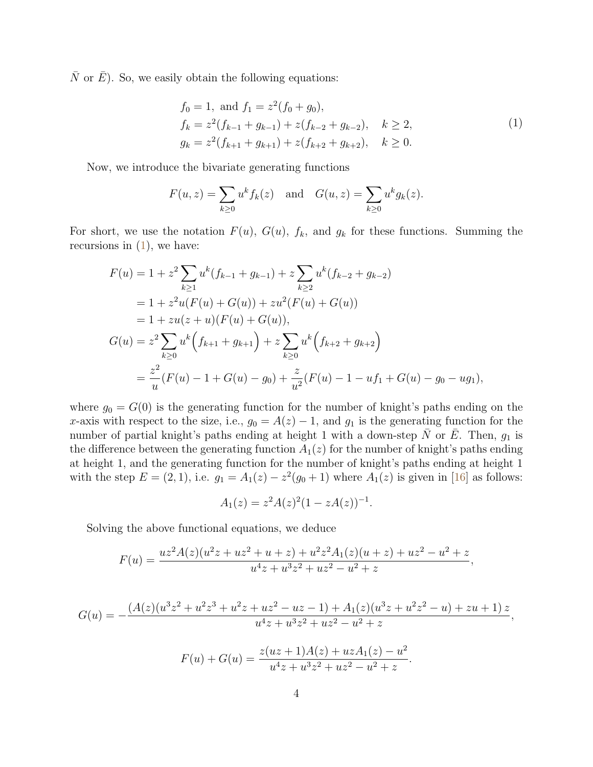$\overline{N}$  or  $\overline{E}$ ). So, we easily obtain the following equations:

<span id="page-3-0"></span>
$$
f_0 = 1, \text{ and } f_1 = z^2(f_0 + g_0),
$$
  
\n
$$
f_k = z^2(f_{k-1} + g_{k-1}) + z(f_{k-2} + g_{k-2}), \quad k \ge 2,
$$
  
\n
$$
g_k = z^2(f_{k+1} + g_{k+1}) + z(f_{k+2} + g_{k+2}), \quad k \ge 0.
$$
\n(1)

Now, we introduce the bivariate generating functions

$$
F(u, z) = \sum_{k \ge 0} u^k f_k(z)
$$
 and  $G(u, z) = \sum_{k \ge 0} u^k g_k(z)$ .

For short, we use the notation  $F(u)$ ,  $G(u)$ ,  $f_k$ , and  $g_k$  for these functions. Summing the recursions in  $(1)$ , we have:

$$
F(u) = 1 + z^2 \sum_{k \ge 1} u^k (f_{k-1} + g_{k-1}) + z \sum_{k \ge 2} u^k (f_{k-2} + g_{k-2})
$$
  
= 1 + z<sup>2</sup>u(F(u) + G(u)) + zu<sup>2</sup>(F(u) + G(u))  
= 1 + zu(z + u)(F(u) + G(u)),  

$$
G(u) = z^2 \sum_{k \ge 0} u^k (f_{k+1} + g_{k+1}) + z \sum_{k \ge 0} u^k (f_{k+2} + g_{k+2})
$$
  
= 
$$
\frac{z^2}{u}(F(u) - 1 + G(u) - g_0) + \frac{z}{u^2}(F(u) - 1 - uf_1 + G(u) - g_0 - ug_1),
$$

where  $g_0 = G(0)$  is the generating function for the number of knight's paths ending on the x-axis with respect to the size, i.e.,  $g_0 = A(z) - 1$ , and  $g_1$  is the generating function for the number of partial knight's paths ending at height 1 with a down-step  $\bar{N}$  or  $\bar{E}$ . Then,  $g_1$  is the difference between the generating function  $A_1(z)$  for the number of knight's paths ending at height 1, and the generating function for the number of knight's paths ending at height 1 with the step  $E = (2, 1)$ , i.e.  $g_1 = A_1(z) - z^2(g_0 + 1)$  where  $A_1(z)$  is given in [\[16\]](#page-14-7) as follows:

$$
A_1(z) = z^2 A(z)^2 (1 - zA(z))^{-1}.
$$

Solving the above functional equations, we deduce

$$
F(u) = \frac{uz^2A(z)(u^2z + uz^2 + u + z) + u^2z^2A_1(z)(u + z) + uz^2 - u^2 + z}{u^4z + u^3z^2 + uz^2 - u^2 + z},
$$

$$
G(u) = -\frac{(A(z)(u^3z^2 + u^2z^3 + u^2z + uz^2 - uz - 1) + A_1(z)(u^3z + u^2z^2 - u) + zu + 1)z}{u^4z + u^3z^2 + uz^2 - u^2 + z},
$$
  

$$
F(u) + G(u) = \frac{z(uz + 1)A(z) + uzA_1(z) - u^2}{u^4z + u^3z^2 + uz^2 - u^2 + z}.
$$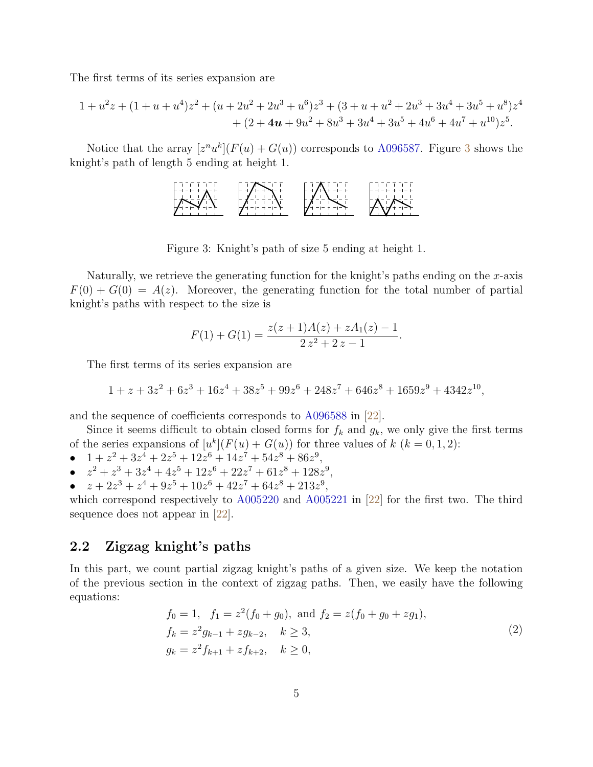The first terms of its series expansion are

$$
1 + u2z + (1 + u + u4)z2 + (u + 2u2 + 2u3 + u6)z3 + (3 + u + u2 + 2u3 + 3u4 + 3u5 + u8)z4 + (2 + 4u + 9u2 + 8u3 + 3u4 + 3u5 + 4u6 + 4u7 + u10)z5.
$$

Notice that the array  $[z<sup>n</sup>u<sup>k</sup>](F(u) + G(u))$  corresponds to [A096587.](https://oeis.org/A096587) Figure [3](#page-4-0) shows the knight's path of length 5 ending at height 1.



<span id="page-4-0"></span>Figure 3: Knight's path of size 5 ending at height 1.

Naturally, we retrieve the generating function for the knight's paths ending on the  $x$ -axis  $F(0) + G(0) = A(z)$ . Moreover, the generating function for the total number of partial knight's paths with respect to the size is

$$
F(1) + G(1) = \frac{z(z+1)A(z) + zA_1(z) - 1}{2z^2 + 2z - 1}.
$$

The first terms of its series expansion are

$$
1 + z + 3z2 + 6z3 + 16z4 + 38z5 + 99z6 + 248z7 + 646z8 + 1659z9 + 4342z10,
$$

and the sequence of coefficients corresponds to [A096588](https://oeis.org/A096588) in [\[22\]](#page-15-5).

Since it seems difficult to obtain closed forms for  $f_k$  and  $g_k$ , we only give the first terms of the series expansions of  $[u^k](F(u) + G(u))$  for three values of  $k$   $(k = 0, 1, 2)$ :

- $1 + z^2 + 3z^4 + 2z^5 + 12z^6 + 14z^7 + 54z^8 + 86z^9$
- $z^2 + z^3 + 3z^4 + 4z^5 + 12z^6 + 22z^7 + 61z^8 + 128z^9$ ,
- $z + 2z^3 + z^4 + 9z^5 + 10z^6 + 42z^7 + 64z^8 + 213z^9$ ,

which correspond respectively to [A005220](https://oeis.org/A005220) and [A005221](https://oeis.org/A005221) in [\[22\]](#page-15-5) for the first two. The third sequence does not appear in [\[22\]](#page-15-5).

#### 2.2 Zigzag knight's paths

In this part, we count partial zigzag knight's paths of a given size. We keep the notation of the previous section in the context of zigzag paths. Then, we easily have the following equations:

$$
f_0 = 1, \quad f_1 = z^2(f_0 + g_0), \text{ and } f_2 = z(f_0 + g_0 + zg_1),
$$
  
\n
$$
f_k = z^2 g_{k-1} + zg_{k-2}, \quad k \ge 3,
$$
  
\n
$$
g_k = z^2 f_{k+1} + z f_{k+2}, \quad k \ge 0,
$$
\n(2)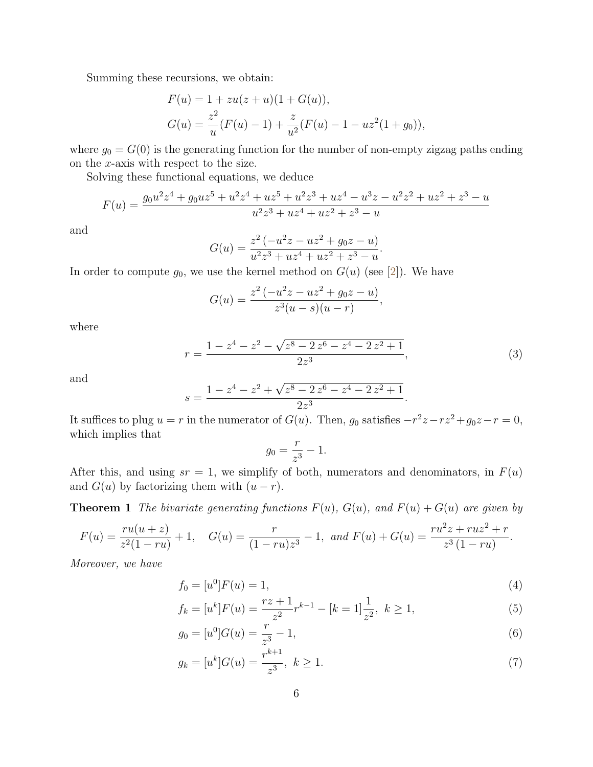Summing these recursions, we obtain:

$$
F(u) = 1 + zu(z+u)(1+G(u)),
$$
  
\n
$$
G(u) = \frac{z^2}{u}(F(u) - 1) + \frac{z}{u^2}(F(u) - 1 - uz^2(1+g_0)),
$$

where  $g_0 = G(0)$  is the generating function for the number of non-empty zigzag paths ending on the x-axis with respect to the size.

Solving these functional equations, we deduce

$$
F(u) = \frac{g_0 u^2 z^4 + g_0 u z^5 + u^2 z^4 + u z^5 + u^2 z^3 + u z^4 - u^3 z - u^2 z^2 + u z^2 + z^3 - u}{u^2 z^3 + u z^4 + u z^2 + z^3 - u}
$$

and

$$
G(u) = \frac{z^2(-u^2z - uz^2 + g_0z - u)}{u^2z^3 + uz^4 + uz^2 + z^3 - u}.
$$

In order to compute  $g_0$ , we use the kernel method on  $G(u)$  (see [\[2\]](#page-14-12)). We have

$$
G(u) = \frac{z^2(-u^2z - uz^2 + g_0z - u)}{z^3(u - s)(u - r)},
$$

where

$$
r = \frac{1 - z^4 - z^2 - \sqrt{z^8 - 2z^6 - z^4 - 2z^2 + 1}}{2z^3},
$$
\n(3)

<span id="page-5-0"></span>.

and

$$
s = \frac{1 - z^4 - z^2 + \sqrt{z^8 - 2z^6 - z^4 - 2z^2 + 1}}{2z^3}
$$

It suffices to plug  $u = r$  in the numerator of  $G(u)$ . Then,  $g_0$  satisfies  $-r^2z - rz^2 + g_0z - r = 0$ , which implies that

$$
g_0 = \frac{r}{z^3} - 1.
$$

After this, and using  $sr = 1$ , we simplify of both, numerators and denominators, in  $F(u)$ and  $G(u)$  by factorizing them with  $(u - r)$ .

<span id="page-5-1"></span>**Theorem 1** The bivariate generating functions  $F(u)$ ,  $G(u)$ , and  $F(u) + G(u)$  are given by

$$
F(u) = \frac{ru(u+z)}{z^2(1-ru)} + 1, \quad G(u) = \frac{r}{(1-ru)z^3} - 1, \text{ and } F(u) + G(u) = \frac{ru^2z + ruz^2 + r}{z^3(1-ru)}.
$$

Moreover, we have

$$
f_0 = [u^0]F(u) = 1,\t\t(4)
$$

$$
f_k = [u^k]F(u) = \frac{rz + 1}{z^2}r^{k-1} - [k = 1]\frac{1}{z^2}, \ k \ge 1,\tag{5}
$$

$$
g_0 = [u^0]G(u) = \frac{r}{z^3} - 1,\tag{6}
$$

$$
g_k = [u^k]G(u) = \frac{r^{k+1}}{z^3}, \ k \ge 1.
$$
 (7)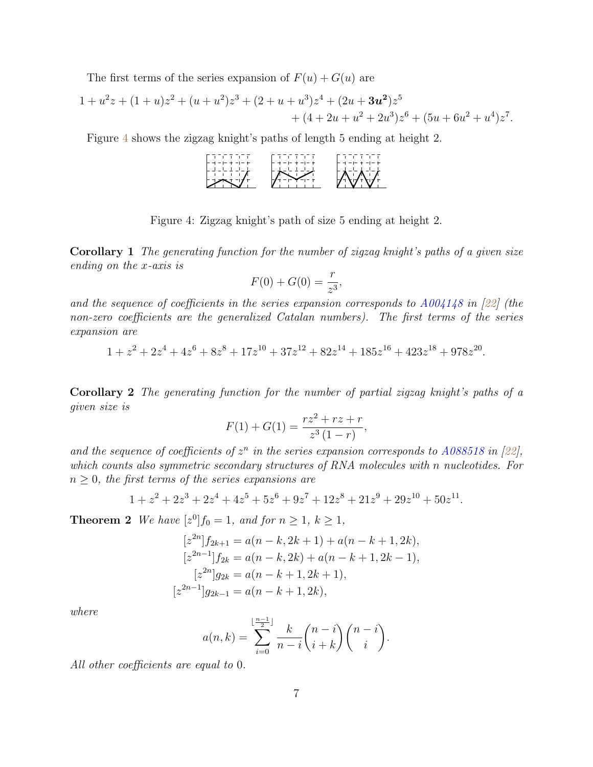The first terms of the series expansion of  $F(u) + G(u)$  are

$$
1 + u2z + (1 + u)z2 + (u + u2)z3 + (2 + u + u3)z4 + (2u + 3u2)z5 + (4 + 2u + u2 + 2u3)z6 + (5u + 6u2 + u4)z7.
$$

Figure [4](#page-6-0) shows the zigzag knight's paths of length 5 ending at height 2.

| ור החדה<br>$- +$ | הרוח הרוח ח<br>$-+$ | הרה הרה הו |
|------------------|---------------------|------------|
|                  |                     |            |
|                  |                     |            |
|                  |                     |            |

<span id="page-6-0"></span>Figure 4: Zigzag knight's path of size 5 ending at height 2.

<span id="page-6-1"></span>Corollary 1 The generating function for the number of zigzag knight's paths of a given size ending on the x-axis is

$$
F(0) + G(0) = \frac{r}{z^3},
$$

and the sequence of coefficients in the series expansion corresponds to  $A004148$  in [\[22\]](#page-15-5) (the non-zero coefficients are the generalized Catalan numbers). The first terms of the series expansion are

$$
1 + z2 + 2z4 + 4z6 + 8z8 + 17z10 + 37z12 + 82z14 + 185z16 + 423z18 + 978z20
$$

.

Corollary 2 The generating function for the number of partial zigzag knight's paths of a given size is

$$
F(1) + G(1) = \frac{rz^2 + rz + r}{z^3(1 - r)},
$$

and the sequence of coefficients of  $z^n$  in the series expansion corresponds to [A088518](https://oeis.org/A088518) in [\[22\]](#page-15-5), which counts also symmetric secondary structures of RNA molecules with n nucleotides. For  $n \geq 0$ , the first terms of the series expansions are

$$
1 + z2 + 2z3 + 2z4 + 4z5 + 5z6 + 9z7 + 12z8 + 21z9 + 29z10 + 50z11.
$$

**Theorem 2** We have  $[z^0]f_0 = 1$ , and for  $n \ge 1$ ,  $k \ge 1$ ,

$$
[z^{2n}]f_{2k+1} = a(n-k, 2k+1) + a(n-k+1, 2k),
$$
  
\n
$$
[z^{2n-1}]f_{2k} = a(n-k, 2k) + a(n-k+1, 2k-1),
$$
  
\n
$$
[z^{2n}]g_{2k} = a(n-k+1, 2k+1),
$$
  
\n
$$
[z^{2n-1}]g_{2k-1} = a(n-k+1, 2k),
$$

where

$$
a(n,k) = \sum_{i=0}^{\lfloor \frac{n-1}{2} \rfloor} \frac{k}{n-i} {n-i \choose i+k} {n-i \choose i}.
$$

All other coefficients are equal to 0.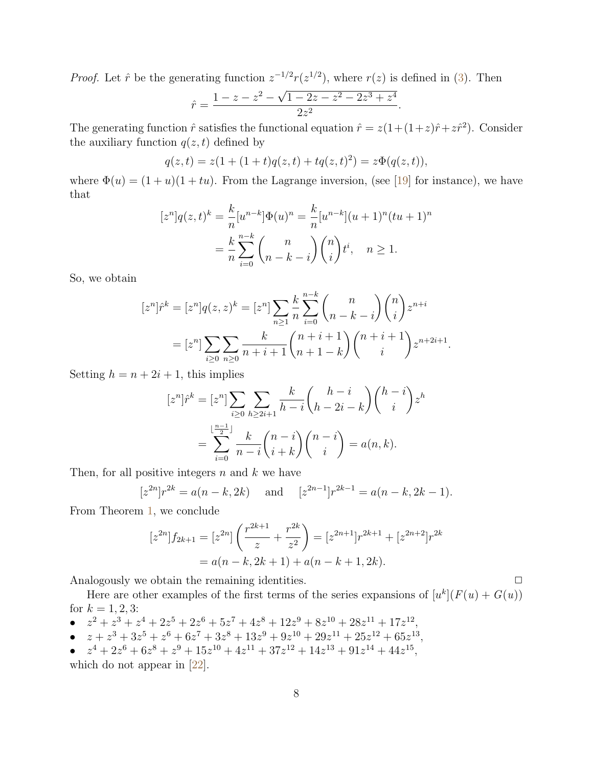*Proof.* Let  $\hat{r}$  be the generating function  $z^{-1/2}r(z^{1/2})$ , where  $r(z)$  is defined in [\(3\)](#page-5-0). Then

$$
\hat{r} = \frac{1 - z - z^2 - \sqrt{1 - 2z - z^2 - 2z^3 + z^4}}{2z^2}.
$$

The generating function  $\hat{r}$  satisfies the functional equation  $\hat{r} = z(1 + (1+z)\hat{r} + z\hat{r}^2)$ . Consider the auxiliary function  $q(z, t)$  defined by

$$
q(z,t) = z(1 + (1+t)q(z,t) + tq(z,t)^{2}) = z\Phi(q(z,t)),
$$

where  $\Phi(u) = (1 + u)(1 + tu)$ . From the Lagrange inversion, (see [\[19\]](#page-15-6) for instance), we have that

$$
[z^n]q(z,t)^k = \frac{k}{n}[u^{n-k}]\Phi(u)^n = \frac{k}{n}[u^{n-k}](u+1)^n(tu+1)^n
$$

$$
= \frac{k}{n}\sum_{i=0}^{n-k} {n \choose n-k-i} {n \choose i}t^i, \quad n \ge 1.
$$

So, we obtain

$$
[z^n]\hat{r}^k = [z^n]q(z, z)^k = [z^n] \sum_{n \ge 1} \frac{k}{n} \sum_{i=0}^{n-k} {n \choose n-k-i} {n \choose i} z^{n+i}
$$

$$
= [z^n] \sum_{i \ge 0} \sum_{n \ge 0} \frac{k}{n+i+1} {n+i+1 \choose n+1-k} {n+i+1 \choose i} z^{n+2i+1}.
$$

Setting  $h = n + 2i + 1$ , this implies

$$
[z^n]\hat{r}^k = [z^n] \sum_{i \ge 0} \sum_{h \ge 2i+1} \frac{k}{h-i} {h-i \choose h-2i-k} {h-i \choose i} z^h
$$

$$
= \sum_{i=0}^{\lfloor \frac{n-1}{2} \rfloor} \frac{k}{n-i} {n-i \choose i+k} {n-i \choose i} = a(n,k).
$$

Then, for all positive integers  $n$  and  $k$  we have

$$
[z^{2n}]r^{2k} = a(n-k, 2k)
$$
 and  $[z^{2n-1}]r^{2k-1} = a(n-k, 2k-1).$ 

From Theorem [1,](#page-5-1) we conclude

$$
[z^{2n}]f_{2k+1} = [z^{2n}] \left( \frac{r^{2k+1}}{z} + \frac{r^{2k}}{z^2} \right) = [z^{2n+1}]r^{2k+1} + [z^{2n+2}]r^{2k}
$$

$$
= a(n-k, 2k+1) + a(n-k+1, 2k).
$$

Analogously we obtain the remaining identities.  $\Box$ 

Here are other examples of the first terms of the series expansions of  $[u^k](F(u) + G(u))$ for  $k = 1, 2, 3$ :

- $z^2 + z^3 + z^4 + 2z^5 + 2z^6 + 5z^7 + 4z^8 + 12z^9 + 8z^{10} + 28z^{11} + 17z^{12}$
- $z + z^3 + 3z^5 + z^6 + 6z^7 + 3z^8 + 13z^9 + 9z^{10} + 29z^{11} + 25z^{12} + 65z^{13}$
- $z^4 + 2z^6 + 6z^8 + z^9 + 15z^{10} + 4z^{11} + 37z^{12} + 14z^{13} + 91z^{14} + 44z^{15}$

which do not appear in [\[22\]](#page-15-5).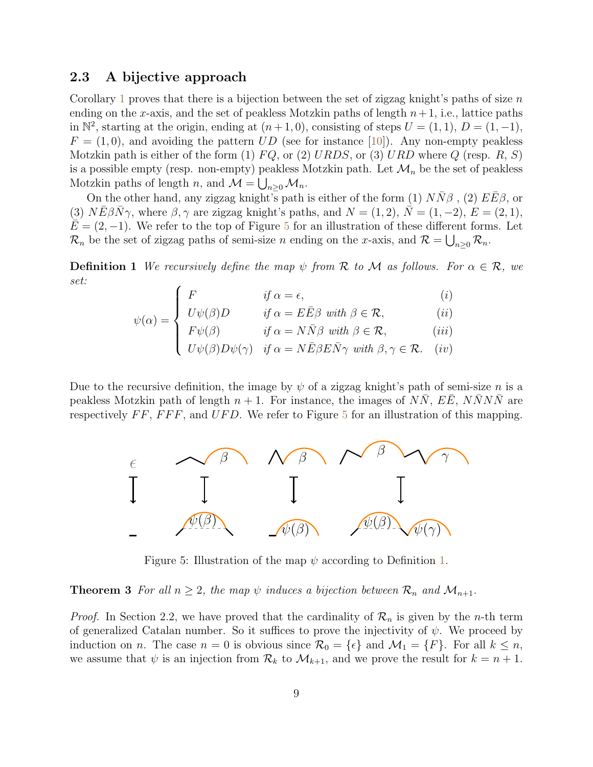#### 2.3 A bijective approach

Corollary [1](#page-6-1) proves that there is a bijection between the set of zigzag knight's paths of size  $n$ ending on the x-axis, and the set of peakless Motzkin paths of length  $n+1$ , i.e., lattice paths in  $\mathbb{N}^2$ , starting at the origin, ending at  $(n+1,0)$ , consisting of steps  $U = (1,1)$ ,  $D = (1,-1)$ ,  $F = (1, 0)$ , and avoiding the pattern UD (see for instance [\[10\]](#page-14-13)). Any non-empty peakless Motzkin path is either of the form (1)  $FQ$ , or (2) URDS, or (3) URD where Q (resp. R, S) is a possible empty (resp. non-empty) peakless Motzkin path. Let  $\mathcal{M}_n$  be the set of peakless Motzkin paths of length n, and  $\mathcal{M} = \bigcup_{n \geq 0} \mathcal{M}_n$ .

On the other hand, any zigzag knight's path is either of the form (1)  $N\bar{N}\beta$ , (2)  $E\bar{E}\beta$ , or (3)  $N\bar{E}\beta\bar{N}\gamma$ , where  $\beta, \gamma$  are zigzag knight's paths, and  $N = (1, 2), \bar{N} = (1, -2), E = (2, 1),$  $E = (2, -1)$ . We refer to the top of Figure [5](#page-8-0) for an illustration of these different forms. Let  $\mathcal{R}_n$  be the set of zigzag paths of semi-size n ending on the x-axis, and  $\mathcal{R} = \bigcup_{n\geq 0} \mathcal{R}_n$ .

<span id="page-8-1"></span>**Definition 1** We recursively define the map  $\psi$  from R to M as follows. For  $\alpha \in \mathcal{R}$ , we set:

$$
\psi(\alpha) = \begin{cases}\nF & \text{if } \alpha = \epsilon, \\
U\psi(\beta)D & \text{if } \alpha = E\bar{E}\beta \text{ with } \beta \in \mathcal{R}, \\
F\psi(\beta) & \text{if } \alpha = N\bar{N}\beta \text{ with } \beta \in \mathcal{R}, \\
U\psi(\beta)D\psi(\gamma) & \text{if } \alpha = N\bar{E}\beta E\bar{N}\gamma \text{ with } \beta, \gamma \in \mathcal{R}. \quad (iv)\n\end{cases}
$$

Due to the recursive definition, the image by  $\psi$  of a zigzag knight's path of semi-size n is a peakless Motzkin path of length  $n + 1$ . For instance, the images of NN, EE, NNNN are respectively  $FF$ ,  $FFF$ , and  $UFD$ . We refer to Figure [5](#page-8-0) for an illustration of this mapping.



<span id="page-8-0"></span>Figure 5: Illustration of the map  $\psi$  according to Definition [1.](#page-8-1)

**Theorem 3** For all  $n \geq 2$ , the map  $\psi$  induces a bijection between  $\mathcal{R}_n$  and  $\mathcal{M}_{n+1}$ .

*Proof.* In Section 2.2, we have proved that the cardinality of  $\mathcal{R}_n$  is given by the *n*-th term of generalized Catalan number. So it suffices to prove the injectivity of  $\psi$ . We proceed by induction on n. The case  $n = 0$  is obvious since  $\mathcal{R}_0 = {\epsilon}$  and  $\mathcal{M}_1 = {F}$ . For all  $k \leq n$ , we assume that  $\psi$  is an injection from  $\mathcal{R}_k$  to  $\mathcal{M}_{k+1}$ , and we prove the result for  $k = n + 1$ .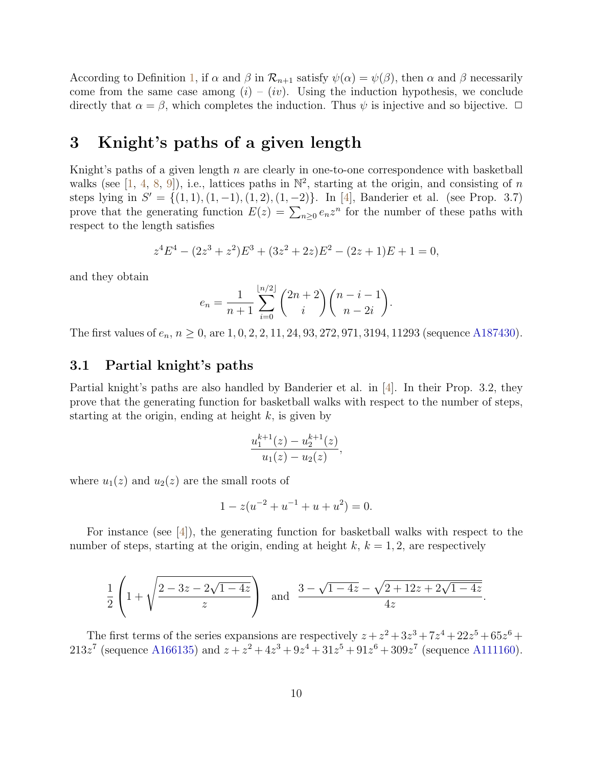According to Definition [1,](#page-8-1) if  $\alpha$  and  $\beta$  in  $\mathcal{R}_{n+1}$  satisfy  $\psi(\alpha) = \psi(\beta)$ , then  $\alpha$  and  $\beta$  necessarily come from the same case among  $(i) - (iv)$ . Using the induction hypothesis, we conclude directly that  $\alpha = \beta$ , which completes the induction. Thus  $\psi$  is injective and so bijective.  $\Box$ 

## 3 Knight's paths of a given length

Knight's paths of a given length n are clearly in one-to-one correspondence with basketball walks (see [\[1,](#page-13-0) [4,](#page-14-9) [8,](#page-14-10) [9\]](#page-14-11)), i.e., lattices paths in  $\mathbb{N}^2$ , starting at the origin, and consisting of n steps lying in  $S' = \{(1, 1), (1, -1), (1, 2), (1, -2)\}\.$  In [\[4\]](#page-14-9), Banderier et al. (see Prop. 3.7) prove that the generating function  $E(z) = \sum_{n\geq 0} e_n z^n$  for the number of these paths with respect to the length satisfies

$$
z4E4 - (2z3 + z2)E3 + (3z2 + 2z)E2 - (2z + 1)E + 1 = 0,
$$

and they obtain

$$
e_n = \frac{1}{n+1} \sum_{i=0}^{\lfloor n/2 \rfloor} {2n+2 \choose i} {n-i-1 \choose n-2i}.
$$

The first values of  $e_n$ ,  $n \ge 0$ , are 1, 0, 2, 2, 11, 24, 93, 272, 971, 3194, 11293 (sequence [A187430\)](https://oeis.org/A187430).

#### 3.1 Partial knight's paths

Partial knight's paths are also handled by Banderier et al. in [\[4\]](#page-14-9). In their Prop. 3.2, they prove that the generating function for basketball walks with respect to the number of steps, starting at the origin, ending at height  $k$ , is given by

$$
\frac{u_1^{k+1}(z) - u_2^{k+1}(z)}{u_1(z) - u_2(z)},
$$

where  $u_1(z)$  and  $u_2(z)$  are the small roots of

$$
1 - z(u^{-2} + u^{-1} + u + u^2) = 0.
$$

For instance (see [\[4\]](#page-14-9)), the generating function for basketball walks with respect to the number of steps, starting at the origin, ending at height  $k, k = 1, 2$ , are respectively

$$
\frac{1}{2}\left(1+\sqrt{\frac{2-3z-2\sqrt{1-4z}}{z}}\right) \text{ and } \frac{3-\sqrt{1-4z}-\sqrt{2+12z+2\sqrt{1-4z}}}{4z}.
$$

The first terms of the series expansions are respectively  $z + z^2 + 3z^3 + 7z^4 + 22z^5 + 65z^6 +$  $213z^7$  (sequence [A166135\)](https://oeis.org/A166135) and  $z + z^2 + 4z^3 + 9z^4 + 31z^5 + 91z^6 + 309z^7$  (sequence [A111160\)](https://oeis.org/A111160).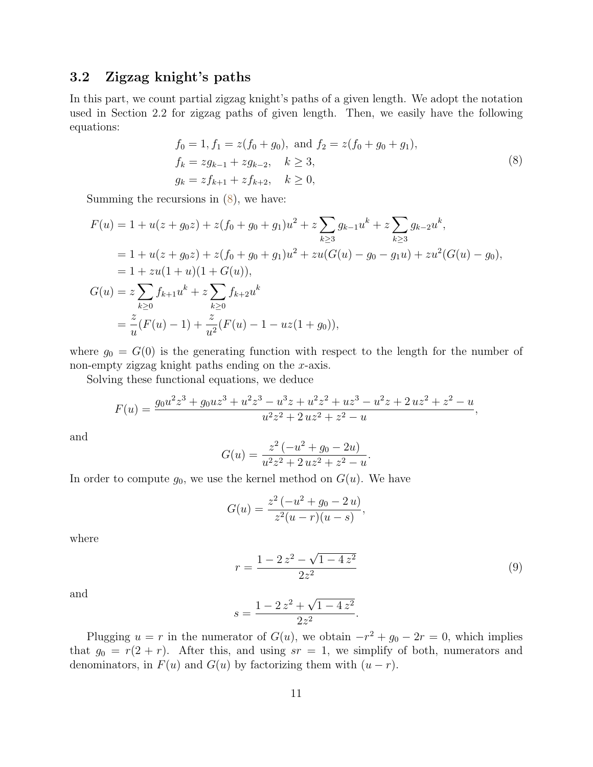### 3.2 Zigzag knight's paths

In this part, we count partial zigzag knight's paths of a given length. We adopt the notation used in Section 2.2 for zigzag paths of given length. Then, we easily have the following equations:

<span id="page-10-0"></span>
$$
f_0 = 1, f_1 = z(f_0 + g_0), \text{ and } f_2 = z(f_0 + g_0 + g_1),
$$
  
\n
$$
f_k = zg_{k-1} + zg_{k-2}, \quad k \ge 3,
$$
  
\n
$$
g_k = zf_{k+1} + zf_{k+2}, \quad k \ge 0,
$$
\n(8)

Summing the recursions in [\(8\)](#page-10-0), we have:

$$
F(u) = 1 + u(z + g_0 z) + z(f_0 + g_0 + g_1)u^2 + z \sum_{k \ge 3} g_{k-1}u^k + z \sum_{k \ge 3} g_{k-2}u^k,
$$
  
= 1 + u(z + g\_0 z) + z(f\_0 + g\_0 + g\_1)u^2 + zu(G(u) - g\_0 - g\_1 u) + zu^2(G(u) - g\_0),  
= 1 + zu(1 + u)(1 + G(u)),  

$$
G(u) = z \sum_{k \ge 0} f_{k+1}u^k + z \sum_{k \ge 0} f_{k+2}u^k
$$
  
=  $\frac{z}{u}(F(u) - 1) + \frac{z}{u^2}(F(u) - 1 - uz(1 + g_0)),$ 

where  $g_0 = G(0)$  is the generating function with respect to the length for the number of non-empty zigzag knight paths ending on the x-axis.

Solving these functional equations, we deduce

$$
F(u) = \frac{g_0 u^2 z^3 + g_0 u z^3 + u^2 z^3 - u^3 z + u^2 z^2 + u z^3 - u^2 z + 2 u z^2 + z^2 - u}{u^2 z^2 + 2 u z^2 + z^2 - u},
$$

and

$$
G(u) = \frac{z^2(-u^2 + g_0 - 2u)}{u^2 z^2 + 2 u z^2 + z^2 - u}.
$$

In order to compute  $g_0$ , we use the kernel method on  $G(u)$ . We have

$$
G(u) = \frac{z^2(-u^2 + g_0 - 2u)}{z^2(u - r)(u - s)},
$$

where

$$
r = \frac{1 - 2z^2 - \sqrt{1 - 4z^2}}{2z^2} \tag{9}
$$

<span id="page-10-1"></span>.

and

$$
s = \frac{1 - 2z^2 + \sqrt{1 - 4z^2}}{2z^2}
$$

Plugging  $u = r$  in the numerator of  $G(u)$ , we obtain  $-r^2 + g_0 - 2r = 0$ , which implies that  $g_0 = r(2 + r)$ . After this, and using  $sr = 1$ , we simplify of both, numerators and denominators, in  $F(u)$  and  $G(u)$  by factorizing them with  $(u - r)$ .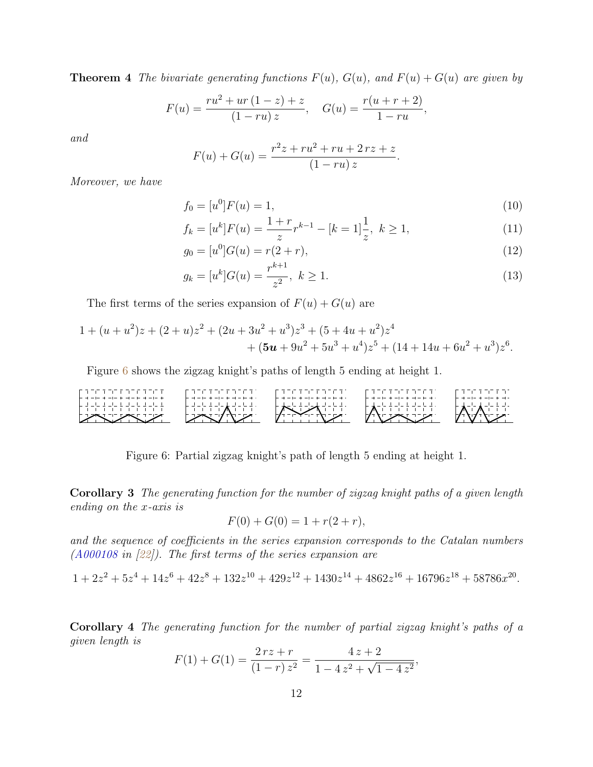**Theorem 4** The bivariate generating functions  $F(u)$ ,  $G(u)$ , and  $F(u) + G(u)$  are given by

$$
F(u) = \frac{ru^2 + ur(1-z) + z}{(1 - ru) z}, \quad G(u) = \frac{r(u+r+2)}{1 - ru},
$$

and

<span id="page-11-1"></span>
$$
F(u) + G(u) = \frac{r^2z + ru^2 + ru + 2rz + z}{(1 - ru)z}.
$$

Moreover, we have

$$
f_0 = [u^0]F(u) = 1,\t\t(10)
$$

$$
f_k = [u^k]F(u) = \frac{1+r}{z}r^{k-1} - [k=1]\frac{1}{z}, \ k \ge 1,
$$
\n(11)

$$
g_0 = [u^0]G(u) = r(2+r),
$$
\n<sup>(12)</sup>

$$
g_k = [u^k]G(u) = \frac{r^{k+1}}{z^2}, \ k \ge 1.
$$
\n<sup>(13)</sup>

The first terms of the series expansion of  $F(u) + G(u)$  are

$$
1 + (u + u2)z + (2 + u)z2 + (2u + 3u2 + u3)z3 + (5 + 4u + u2)z4+ (5u + 9u2 + 5u3 + u4)z5 + (14 + 14u + 6u2 + u3)z6.
$$

Figure [6](#page-11-0) shows the zigzag knight's paths of length 5 ending at height 1.

|   | $\epsilon = 1 - 1$       | .<br>$- - +$ |  |
|---|--------------------------|--------------|--|
|   | $\overline{\phantom{0}}$ | ⋀            |  |
| ↙ |                          |              |  |

<span id="page-11-0"></span>Figure 6: Partial zigzag knight's path of length 5 ending at height 1.

<span id="page-11-2"></span>Corollary 3 The generating function for the number of zigzag knight paths of a given length ending on the x-axis is

$$
F(0) + G(0) = 1 + r(2+r),
$$

and the sequence of coefficients in the series expansion corresponds to the Catalan numbers [\(A000108](https://oeis.org/A000108) in [\[22\]](#page-15-5)). The first terms of the series expansion are

$$
1 + 2z2 + 5z4 + 14z6 + 42z8 + 132z10 + 429z12 + 1430z14 + 4862z16 + 16796z18 + 58786x20.
$$

Corollary 4 The generating function for the number of partial zigzag knight's paths of a given length is

$$
F(1) + G(1) = \frac{2rz + r}{(1-r)z^2} = \frac{4z + 2}{1 - 4z^2 + \sqrt{1 - 4z^2}},
$$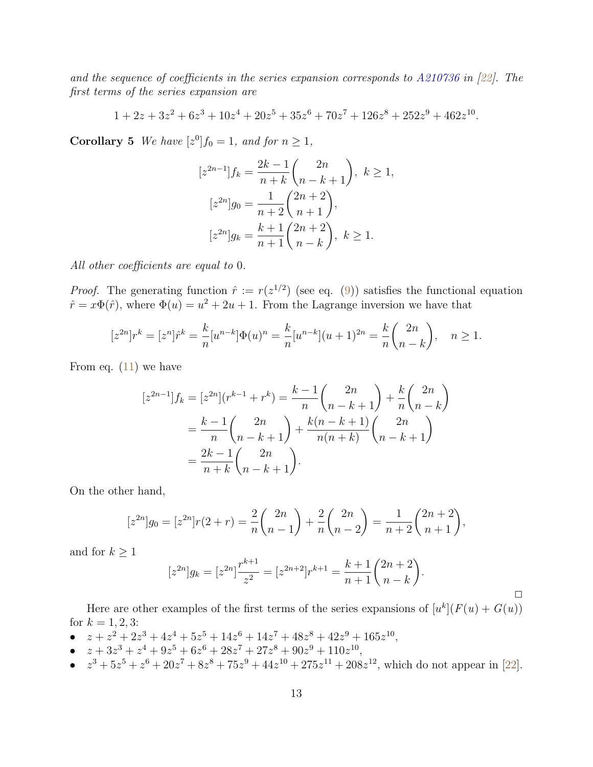and the sequence of coefficients in the series expansion corresponds to [A210736](https://oeis.org/A210736) in [\[22\]](#page-15-5). The first terms of the series expansion are

$$
1 + 2z + 3z2 + 6z3 + 10z4 + 20z5 + 35z6 + 70z7 + 126z8 + 252z9 + 462z10.
$$

**Corollary 5** We have  $[z^0]f_0 = 1$ , and for  $n \ge 1$ ,

$$
[z^{2n-1}]f_k = \frac{2k-1}{n+k} \binom{2n}{n-k+1}, \ k \ge 1,
$$
  

$$
[z^{2n}]g_0 = \frac{1}{n+2} \binom{2n+2}{n+1},
$$
  

$$
[z^{2n}]g_k = \frac{k+1}{n+1} \binom{2n+2}{n-k}, \ k \ge 1.
$$

All other coefficients are equal to 0.

*Proof.* The generating function  $\hat{r} := r(z^{1/2})$  (see eq. [\(9\)](#page-10-1)) satisfies the functional equation  $\hat{r} = x\Phi(\hat{r})$ , where  $\Phi(u) = u^2 + 2u + 1$ . From the Lagrange inversion we have that

$$
[z^{2n}]r^k = [z^n]\hat{r}^k = \frac{k}{n}[u^{n-k}]\Phi(u)^n = \frac{k}{n}[u^{n-k}](u+1)^{2n} = \frac{k}{n}\binom{2n}{n-k}, \quad n \ge 1.
$$

From eq.  $(11)$  we have

$$
[z^{2n-1}]f_k = [z^{2n}](r^{k-1} + r^k) = \frac{k-1}{n} \binom{2n}{n-k+1} + \frac{k}{n} \binom{2n}{n-k}
$$

$$
= \frac{k-1}{n} \binom{2n}{n-k+1} + \frac{k(n-k+1)}{n(n+k)} \binom{2n}{n-k+1}
$$

$$
= \frac{2k-1}{n+k} \binom{2n}{n-k+1}.
$$

On the other hand,

$$
[z^{2n}]g_0 = [z^{2n}]r(2+r) = \frac{2}{n} \binom{2n}{n-1} + \frac{2}{n} \binom{2n}{n-2} = \frac{1}{n+2} \binom{2n+2}{n+1},
$$

and for  $k \geq 1$ 

$$
[z^{2n}]g_k = [z^{2n}] \frac{r^{k+1}}{z^2} = [z^{2n+2}]r^{k+1} = \frac{k+1}{n+1} {2n+2 \choose n-k}.
$$

 $\Box$ 

Here are other examples of the first terms of the series expansions of  $[u^k](F(u) + G(u))$ for  $k = 1, 2, 3$ :

- $z + z^2 + 2z^3 + 4z^4 + 5z^5 + 14z^6 + 14z^7 + 48z^8 + 42z^9 + 165z^{10}$
- $z + 3z^3 + z^4 + 9z^5 + 6z^6 + 28z^7 + 27z^8 + 90z^9 + 110z^{10}$
- $z^3 + 5z^5 + z^6 + 20z^7 + 8z^8 + 75z^9 + 44z^{10} + 275z^{11} + 208z^{12}$ , which do not appear in [\[22\]](#page-15-5).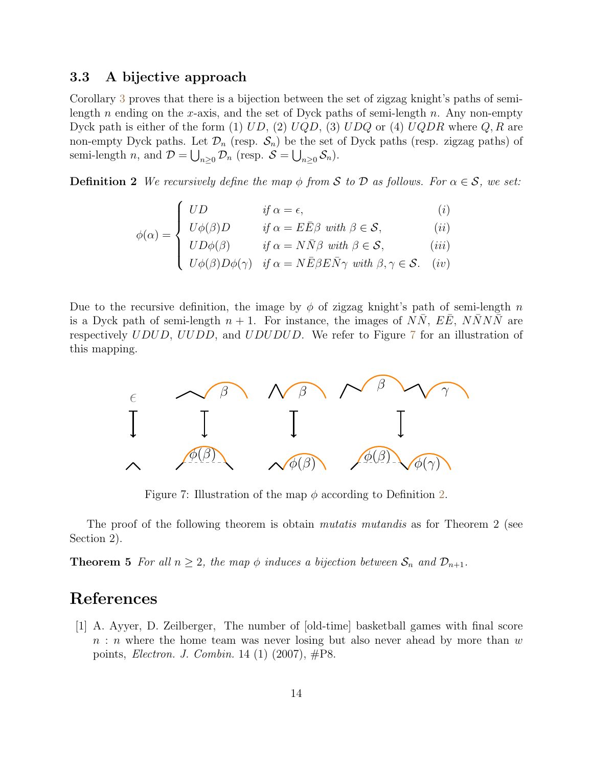#### 3.3 A bijective approach

Corollary [3](#page-11-2) proves that there is a bijection between the set of zigzag knight's paths of semilength n ending on the x-axis, and the set of Dyck paths of semi-length n. Any non-empty Dyck path is either of the form (1)  $UD$ , (2)  $UQD$ , (3)  $UDQ$  or (4)  $UQDR$  where  $Q, R$  are non-empty Dyck paths. Let  $\mathcal{D}_n$  (resp.  $\mathcal{S}_n$ ) be the set of Dyck paths (resp. zigzag paths) of semi-length *n*, and  $\mathcal{D} = \bigcup_{n\geq 0} \mathcal{D}_n$  (resp.  $\mathcal{S} = \bigcup_{n\geq 0} \mathcal{S}_n$ ).

<span id="page-13-2"></span>**Definition 2** We recursively define the map  $\phi$  from S to D as follows. For  $\alpha \in \mathcal{S}$ , we set:

$$
\phi(\alpha) = \begin{cases}\nUD & \text{if } \alpha = \epsilon, & (i) \\
U\phi(\beta)D & \text{if } \alpha = E\bar{E}\beta \text{ with } \beta \in \mathcal{S}, & (ii) \\
UD\phi(\beta) & \text{if } \alpha = N\bar{N}\beta \text{ with } \beta \in \mathcal{S}, & (iii) \\
U\phi(\beta)D\phi(\gamma) & \text{if } \alpha = N\bar{E}\beta E\bar{N}\gamma \text{ with } \beta, \gamma \in \mathcal{S}. & (iv)\n\end{cases}
$$

Due to the recursive definition, the image by  $\phi$  of zigzag knight's path of semi-length n is a Dyck path of semi-length  $n + 1$ . For instance, the images of  $N\overline{N}$ ,  $E\overline{E}$ ,  $N\overline{N}N\overline{N}$  are respectively UDUD, UUDD, and UDUDUD. We refer to Figure [7](#page-13-1) for an illustration of this mapping.



<span id="page-13-1"></span>Figure 7: Illustration of the map  $\phi$  according to Definition [2.](#page-13-2)

The proof of the following theorem is obtain *mutatis mutandis* as for Theorem 2 (see Section 2).

**Theorem 5** For all  $n \geq 2$ , the map  $\phi$  induces a bijection between  $S_n$  and  $\mathcal{D}_{n+1}$ .

### References

<span id="page-13-0"></span>[1] A. Ayyer, D. Zeilberger, The number of [old-time] basketball games with final score  $n : n$  where the home team was never losing but also never ahead by more than w points, Electron. J. Combin. 14 (1) (2007), #P8.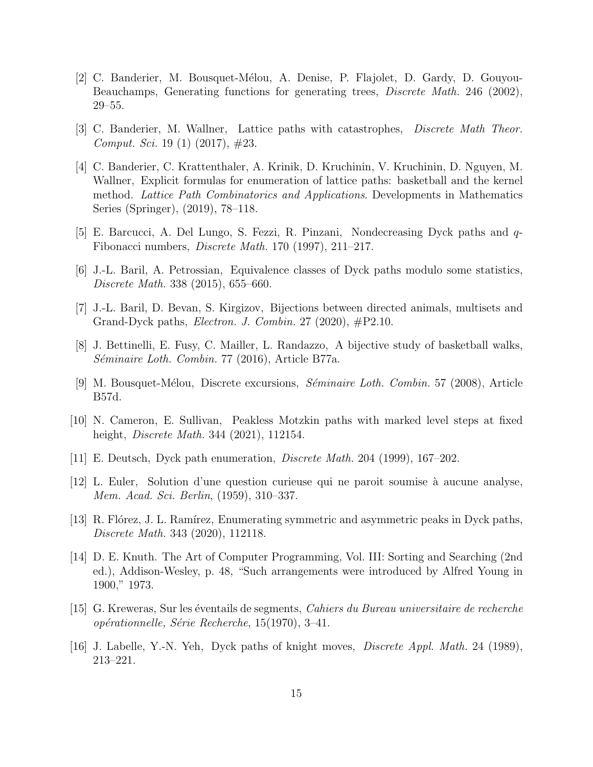- <span id="page-14-12"></span>[2] C. Banderier, M. Bousquet-M´elou, A. Denise, P. Flajolet, D. Gardy, D. Gouyou-Beauchamps, Generating functions for generating trees, Discrete Math. 246 (2002), 29–55.
- <span id="page-14-2"></span>[3] C. Banderier, M. Wallner, Lattice paths with catastrophes, Discrete Math Theor. Comput. Sci. 19 (1) (2017),  $\#23$ .
- <span id="page-14-9"></span>[4] C. Banderier, C. Krattenthaler, A. Krinik, D. Kruchinin, V. Kruchinin, D. Nguyen, M. Wallner, Explicit formulas for enumeration of lattice paths: basketball and the kernel method. Lattice Path Combinatorics and Applications. Developments in Mathematics Series (Springer), (2019), 78–118.
- <span id="page-14-3"></span>[5] E. Barcucci, A. Del Lungo, S. Fezzi, R. Pinzani, Nondecreasing Dyck paths and  $q$ -Fibonacci numbers, Discrete Math. 170 (1997), 211–217.
- <span id="page-14-4"></span>[6] J.-L. Baril, A. Petrossian, Equivalence classes of Dyck paths modulo some statistics, Discrete Math. 338 (2015), 655–660.
- <span id="page-14-0"></span>[7] J.-L. Baril, D. Bevan, S. Kirgizov, Bijections between directed animals, multisets and Grand-Dyck paths, Electron. J. Combin. 27 (2020), #P2.10.
- <span id="page-14-10"></span>[8] J. Bettinelli, E. Fusy, C. Mailler, L. Randazzo, A bijective study of basketball walks, Séminaire Loth. Combin. 77 (2016), Article B77a.
- <span id="page-14-11"></span>[9] M. Bousquet-Mélou, Discrete excursions, *Séminaire Loth. Combin.* 57 (2008), Article B57d.
- <span id="page-14-13"></span>[10] N. Cameron, E. Sullivan, Peakless Motzkin paths with marked level steps at fixed height, *Discrete Math.* 344 (2021), 112154.
- <span id="page-14-5"></span>[11] E. Deutsch, Dyck path enumeration, Discrete Math. 204 (1999), 167–202.
- <span id="page-14-8"></span>[12] L. Euler, Solution d'une question curieuse qui ne paroit soumise `a aucune analyse, Mem. Acad. Sci. Berlin, (1959), 310–337.
- <span id="page-14-6"></span>[13] R. Flórez, J. L. Ramírez, Enumerating symmetric and asymmetric peaks in Dyck paths, Discrete Math. 343 (2020), 112118.
- <span id="page-14-1"></span>[14] D. E. Knuth. The Art of Computer Programming, Vol. III: Sorting and Searching (2nd ed.), Addison-Wesley, p. 48, "Such arrangements were introduced by Alfred Young in 1900," 1973.
- [15] G. Kreweras, Sur les éventails de segments, *Cahiers du Bureau universitaire de recherche*  $o$ pérationnelle, Série Recherche, 15(1970), 3–41.
- <span id="page-14-7"></span>[16] J. Labelle, Y.-N. Yeh, Dyck paths of knight moves, Discrete Appl. Math. 24 (1989), 213–221.